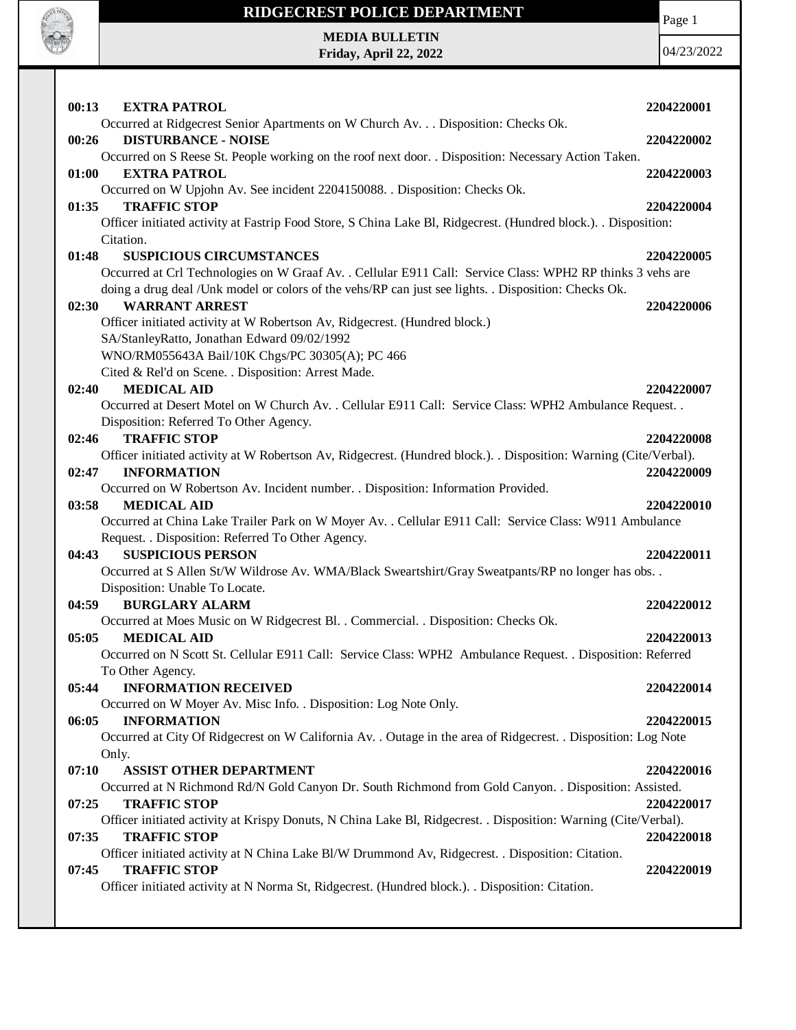

# **RIDGECREST POLICE DEPARTMENT**

Page 1

**MEDIA BULLETIN Friday, April 22, 2022**

| 00:13<br><b>EXTRA PATROL</b>                                                                                            | 2204220001 |
|-------------------------------------------------------------------------------------------------------------------------|------------|
| Occurred at Ridgecrest Senior Apartments on W Church Av. Disposition: Checks Ok.<br><b>DISTURBANCE - NOISE</b><br>00:26 | 2204220002 |
| Occurred on S Reese St. People working on the roof next door. . Disposition: Necessary Action Taken.                    |            |
| 01:00<br><b>EXTRA PATROL</b>                                                                                            | 2204220003 |
| Occurred on W Upjohn Av. See incident 2204150088. . Disposition: Checks Ok.                                             |            |
| <b>TRAFFIC STOP</b><br>01:35                                                                                            | 2204220004 |
| Officer initiated activity at Fastrip Food Store, S China Lake Bl, Ridgecrest. (Hundred block.). . Disposition:         |            |
| Citation.                                                                                                               |            |
| 01:48<br><b>SUSPICIOUS CIRCUMSTANCES</b>                                                                                | 2204220005 |
| Occurred at Crl Technologies on W Graaf Av. . Cellular E911 Call: Service Class: WPH2 RP thinks 3 vehs are              |            |
| doing a drug deal /Unk model or colors of the vehs/RP can just see lights. . Disposition: Checks Ok.                    |            |
| <b>WARRANT ARREST</b><br>02:30                                                                                          | 2204220006 |
| Officer initiated activity at W Robertson Av, Ridgecrest. (Hundred block.)                                              |            |
| SA/StanleyRatto, Jonathan Edward 09/02/1992                                                                             |            |
| WNO/RM055643A Bail/10K Chgs/PC 30305(A); PC 466                                                                         |            |
| Cited & Rel'd on Scene. . Disposition: Arrest Made.<br><b>MEDICAL AID</b><br>02:40                                      | 2204220007 |
| Occurred at Desert Motel on W Church Av. . Cellular E911 Call: Service Class: WPH2 Ambulance Request. .                 |            |
| Disposition: Referred To Other Agency.                                                                                  |            |
| 02:46<br><b>TRAFFIC STOP</b>                                                                                            | 2204220008 |
| Officer initiated activity at W Robertson Av, Ridgecrest. (Hundred block.). . Disposition: Warning (Cite/Verbal).       |            |
| <b>INFORMATION</b><br>02:47                                                                                             | 2204220009 |
| Occurred on W Robertson Av. Incident number. . Disposition: Information Provided.                                       |            |
| <b>MEDICAL AID</b><br>03:58                                                                                             | 2204220010 |
| Occurred at China Lake Trailer Park on W Moyer Av. . Cellular E911 Call: Service Class: W911 Ambulance                  |            |
| Request. . Disposition: Referred To Other Agency.                                                                       |            |
| <b>SUSPICIOUS PERSON</b><br>04:43                                                                                       | 2204220011 |
| Occurred at S Allen St/W Wildrose Av. WMA/Black Sweartshirt/Gray Sweatpants/RP no longer has obs. .                     |            |
| Disposition: Unable To Locate.                                                                                          |            |
| <b>BURGLARY ALARM</b><br>04:59                                                                                          | 2204220012 |
| Occurred at Moes Music on W Ridgecrest Bl. . Commercial. . Disposition: Checks Ok.                                      |            |
| <b>MEDICAL AID</b><br>05:05                                                                                             | 2204220013 |
| Occurred on N Scott St. Cellular E911 Call: Service Class: WPH2 Ambulance Request. . Disposition: Referred              |            |
| To Other Agency.                                                                                                        |            |
| <b>INFORMATION RECEIVED</b><br>05:44                                                                                    | 2204220014 |
| Occurred on W Moyer Av. Misc Info. . Disposition: Log Note Only.                                                        |            |
| 06:05<br><b>INFORMATION</b>                                                                                             | 2204220015 |
| Occurred at City Of Ridgecrest on W California Av. . Outage in the area of Ridgecrest. . Disposition: Log Note          |            |
| Only.<br>07:10<br><b>ASSIST OTHER DEPARTMENT</b>                                                                        | 2204220016 |
| Occurred at N Richmond Rd/N Gold Canyon Dr. South Richmond from Gold Canyon. . Disposition: Assisted.                   |            |
| <b>TRAFFIC STOP</b><br>07:25                                                                                            | 2204220017 |
| Officer initiated activity at Krispy Donuts, N China Lake Bl, Ridgecrest. . Disposition: Warning (Cite/Verbal).         |            |
| <b>TRAFFIC STOP</b><br>07:35                                                                                            | 2204220018 |
| Officer initiated activity at N China Lake Bl/W Drummond Av, Ridgecrest. . Disposition: Citation.                       |            |
| <b>TRAFFIC STOP</b><br>07:45                                                                                            | 2204220019 |
| Officer initiated activity at N Norma St, Ridgecrest. (Hundred block.). . Disposition: Citation.                        |            |
|                                                                                                                         |            |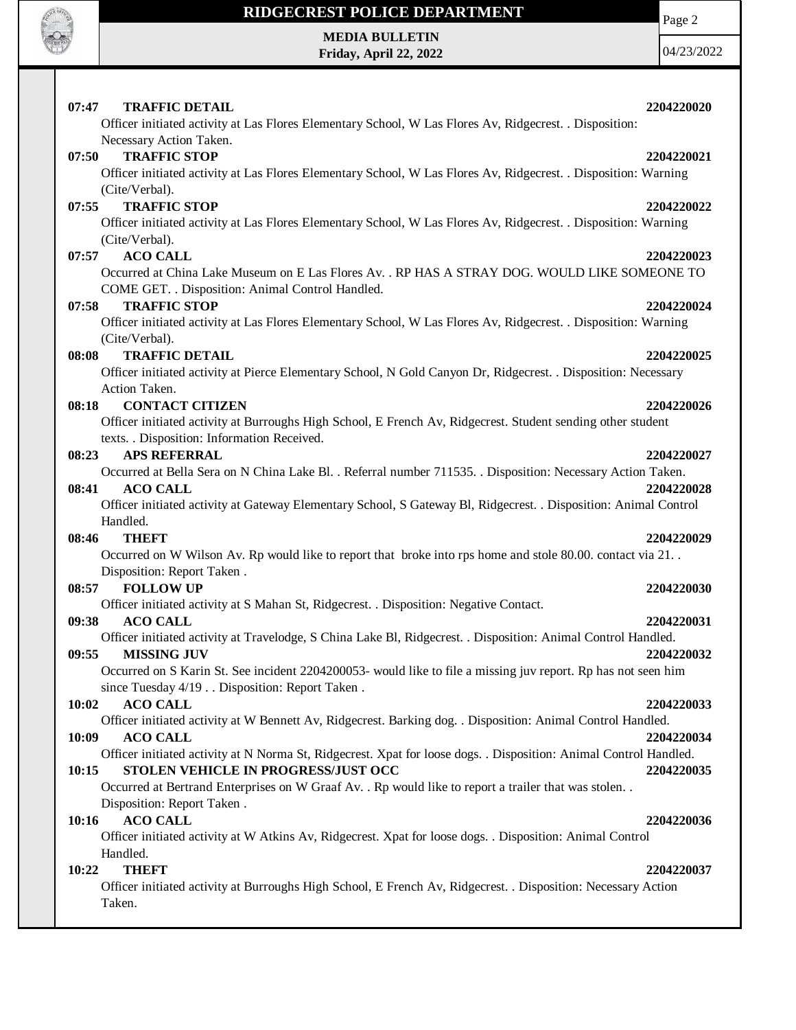

Τ

## **RIDGECREST POLICE DEPARTMENT MEDIA BULLETIN**

**Friday, April 22, 2022**

Page 2

| 07:47 | <b>TRAFFIC DETAIL</b><br>Officer initiated activity at Las Flores Elementary School, W Las Flores Av, Ridgecrest. . Disposition:                         | 2204220020 |
|-------|----------------------------------------------------------------------------------------------------------------------------------------------------------|------------|
|       | Necessary Action Taken.                                                                                                                                  |            |
| 07:50 | <b>TRAFFIC STOP</b>                                                                                                                                      | 2204220021 |
|       | Officer initiated activity at Las Flores Elementary School, W Las Flores Av, Ridgecrest. . Disposition: Warning                                          |            |
|       | (Cite/Verbal).                                                                                                                                           |            |
| 07:55 | <b>TRAFFIC STOP</b>                                                                                                                                      | 2204220022 |
|       | Officer initiated activity at Las Flores Elementary School, W Las Flores Av, Ridgecrest. . Disposition: Warning                                          |            |
|       | (Cite/Verbal).                                                                                                                                           |            |
| 07:57 | <b>ACO CALL</b>                                                                                                                                          | 2204220023 |
|       | Occurred at China Lake Museum on E Las Flores Av. . RP HAS A STRAY DOG. WOULD LIKE SOMEONE TO<br>COME GET. . Disposition: Animal Control Handled.        |            |
| 07:58 | <b>TRAFFIC STOP</b>                                                                                                                                      | 2204220024 |
|       | Officer initiated activity at Las Flores Elementary School, W Las Flores Av, Ridgecrest. . Disposition: Warning<br>(Cite/Verbal).                        |            |
| 08:08 | <b>TRAFFIC DETAIL</b>                                                                                                                                    | 2204220025 |
|       | Officer initiated activity at Pierce Elementary School, N Gold Canyon Dr, Ridgecrest. . Disposition: Necessary                                           |            |
|       | Action Taken.                                                                                                                                            |            |
| 08:18 | <b>CONTACT CITIZEN</b>                                                                                                                                   | 2204220026 |
|       | Officer initiated activity at Burroughs High School, E French Av, Ridgecrest. Student sending other student                                              |            |
|       | texts. . Disposition: Information Received.                                                                                                              |            |
| 08:23 | <b>APS REFERRAL</b>                                                                                                                                      | 2204220027 |
|       | Occurred at Bella Sera on N China Lake Bl. . Referral number 711535. . Disposition: Necessary Action Taken.                                              |            |
| 08:41 | <b>ACO CALL</b>                                                                                                                                          | 2204220028 |
|       | Officer initiated activity at Gateway Elementary School, S Gateway Bl, Ridgecrest. . Disposition: Animal Control                                         |            |
|       | Handled.                                                                                                                                                 |            |
| 08:46 | <b>THEFT</b>                                                                                                                                             | 2204220029 |
|       | Occurred on W Wilson Av. Rp would like to report that broke into rps home and stole 80.00. contact via 21                                                |            |
| 08:57 | Disposition: Report Taken.<br><b>FOLLOW UP</b>                                                                                                           | 2204220030 |
|       | Officer initiated activity at S Mahan St, Ridgecrest. . Disposition: Negative Contact.                                                                   |            |
| 09:38 | <b>ACO CALL</b>                                                                                                                                          | 2204220031 |
|       | Officer initiated activity at Travelodge, S China Lake Bl, Ridgecrest. . Disposition: Animal Control Handled.                                            |            |
| 09:55 | <b>MISSING JUV</b>                                                                                                                                       | 2204220032 |
|       | Occurred on S Karin St. See incident 2204200053- would like to file a missing juv report. Rp has not seen him                                            |            |
|       | since Tuesday 4/19 Disposition: Report Taken.                                                                                                            |            |
| 10:02 | <b>ACO CALL</b>                                                                                                                                          | 2204220033 |
|       | Officer initiated activity at W Bennett Av, Ridgecrest. Barking dog. . Disposition: Animal Control Handled.                                              |            |
| 10:09 | <b>ACO CALL</b>                                                                                                                                          | 2204220034 |
| 10:15 | Officer initiated activity at N Norma St, Ridgecrest. Xpat for loose dogs. . Disposition: Animal Control Handled.<br>STOLEN VEHICLE IN PROGRESS/JUST OCC | 2204220035 |
|       | Occurred at Bertrand Enterprises on W Graaf Av. . Rp would like to report a trailer that was stolen. .                                                   |            |
|       | Disposition: Report Taken.                                                                                                                               |            |
| 10:16 | <b>ACO CALL</b>                                                                                                                                          | 2204220036 |
|       | Officer initiated activity at W Atkins Av, Ridgecrest. Xpat for loose dogs. . Disposition: Animal Control                                                |            |
|       | Handled.                                                                                                                                                 |            |
| 10:22 | <b>THEFT</b>                                                                                                                                             | 2204220037 |
|       | Officer initiated activity at Burroughs High School, E French Av, Ridgecrest. . Disposition: Necessary Action<br>Taken.                                  |            |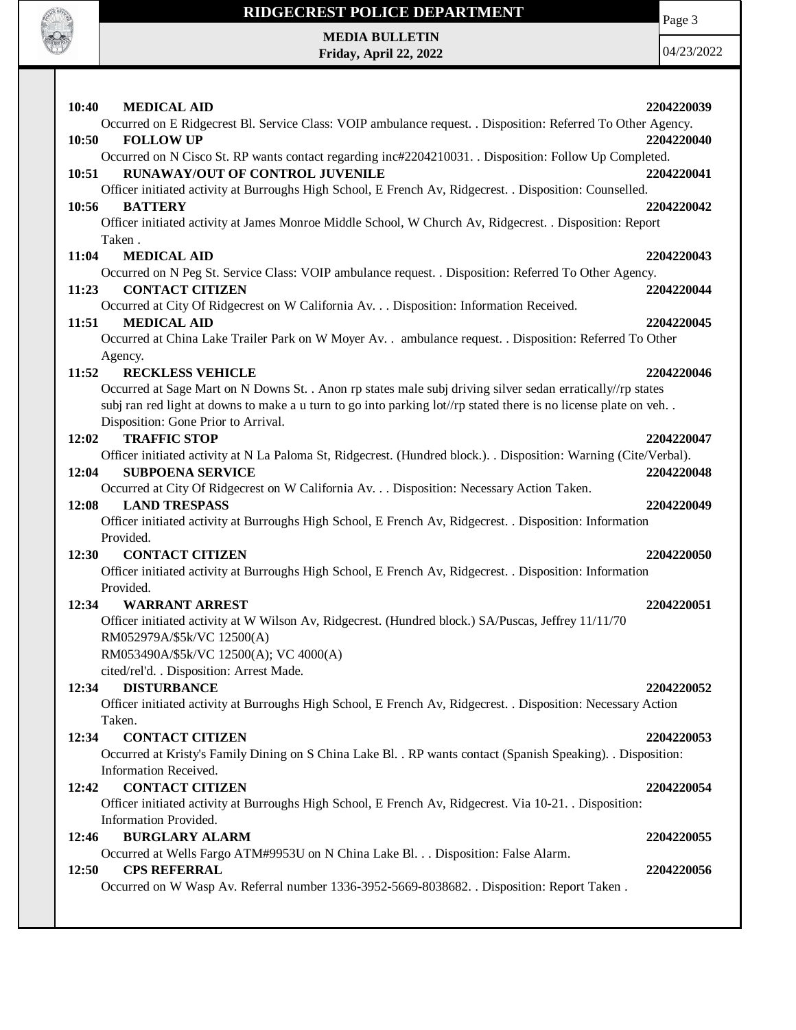

## **RIDGECREST POLICE DEPARTMENT MEDIA BULLETIN**

**Friday, April 22, 2022**

Page 3

| 10:40<br><b>MEDICAL AID</b>                                                                                                           |            |
|---------------------------------------------------------------------------------------------------------------------------------------|------------|
|                                                                                                                                       | 2204220039 |
| Occurred on E Ridgecrest Bl. Service Class: VOIP ambulance request. . Disposition: Referred To Other Agency.                          |            |
| <b>FOLLOW UP</b><br>10:50                                                                                                             | 2204220040 |
| Occurred on N Cisco St. RP wants contact regarding inc#2204210031. Disposition: Follow Up Completed.                                  |            |
| <b>RUNAWAY/OUT OF CONTROL JUVENILE</b><br>10:51                                                                                       | 2204220041 |
| Officer initiated activity at Burroughs High School, E French Av, Ridgecrest. . Disposition: Counselled.                              |            |
| <b>BATTERY</b><br>10:56                                                                                                               | 2204220042 |
| Officer initiated activity at James Monroe Middle School, W Church Av, Ridgecrest. . Disposition: Report                              |            |
| Taken.                                                                                                                                |            |
| 11:04<br><b>MEDICAL AID</b>                                                                                                           | 2204220043 |
| Occurred on N Peg St. Service Class: VOIP ambulance request. . Disposition: Referred To Other Agency.                                 |            |
| <b>CONTACT CITIZEN</b><br>11:23                                                                                                       | 2204220044 |
| Occurred at City Of Ridgecrest on W California Av. Disposition: Information Received.                                                 |            |
| <b>MEDICAL AID</b><br>11:51                                                                                                           | 2204220045 |
| Occurred at China Lake Trailer Park on W Moyer Av. . ambulance request. . Disposition: Referred To Other                              |            |
| Agency.                                                                                                                               |            |
| 11:52<br><b>RECKLESS VEHICLE</b>                                                                                                      | 2204220046 |
| Occurred at Sage Mart on N Downs St. . Anon rp states male subj driving silver sedan erratically//rp states                           |            |
| subj ran red light at downs to make a u turn to go into parking lot//rp stated there is no license plate on veh                       |            |
| Disposition: Gone Prior to Arrival.                                                                                                   |            |
| <b>TRAFFIC STOP</b><br>12:02                                                                                                          | 2204220047 |
| Officer initiated activity at N La Paloma St, Ridgecrest. (Hundred block.). . Disposition: Warning (Cite/Verbal).                     |            |
| <b>SUBPOENA SERVICE</b><br>12:04                                                                                                      | 2204220048 |
| Occurred at City Of Ridgecrest on W California Av. Disposition: Necessary Action Taken.                                               |            |
| 12:08<br><b>LAND TRESPASS</b>                                                                                                         | 2204220049 |
| Officer initiated activity at Burroughs High School, E French Av, Ridgecrest. . Disposition: Information                              |            |
| Provided.                                                                                                                             |            |
| 12:30<br><b>CONTACT CITIZEN</b>                                                                                                       | 2204220050 |
|                                                                                                                                       |            |
|                                                                                                                                       |            |
| Officer initiated activity at Burroughs High School, E French Av, Ridgecrest. . Disposition: Information                              |            |
| Provided.                                                                                                                             |            |
| <b>WARRANT ARREST</b><br>12:34                                                                                                        | 2204220051 |
| Officer initiated activity at W Wilson Av, Ridgecrest. (Hundred block.) SA/Puscas, Jeffrey 11/11/70                                   |            |
| RM052979A/\$5k/VC 12500(A)                                                                                                            |            |
| RM053490A/\$5k/VC 12500(A); VC 4000(A)                                                                                                |            |
| cited/rel'd. . Disposition: Arrest Made.                                                                                              |            |
| 12:34<br><b>DISTURBANCE</b>                                                                                                           | 2204220052 |
| Officer initiated activity at Burroughs High School, E French Av, Ridgecrest. . Disposition: Necessary Action                         |            |
| Taken.                                                                                                                                |            |
| <b>CONTACT CITIZEN</b><br>12:34                                                                                                       | 2204220053 |
| Occurred at Kristy's Family Dining on S China Lake Bl. . RP wants contact (Spanish Speaking). . Disposition:<br>Information Received. |            |
|                                                                                                                                       |            |
| <b>CONTACT CITIZEN</b><br>12:42                                                                                                       | 2204220054 |
| Officer initiated activity at Burroughs High School, E French Av, Ridgecrest. Via 10-21. . Disposition:                               |            |
| Information Provided.<br><b>BURGLARY ALARM</b><br>12:46                                                                               |            |
|                                                                                                                                       | 2204220055 |
| Occurred at Wells Fargo ATM#9953U on N China Lake Bl. Disposition: False Alarm.<br><b>CPS REFERRAL</b><br>12:50                       | 2204220056 |
|                                                                                                                                       |            |
| Occurred on W Wasp Av. Referral number 1336-3952-5669-8038682. . Disposition: Report Taken.                                           |            |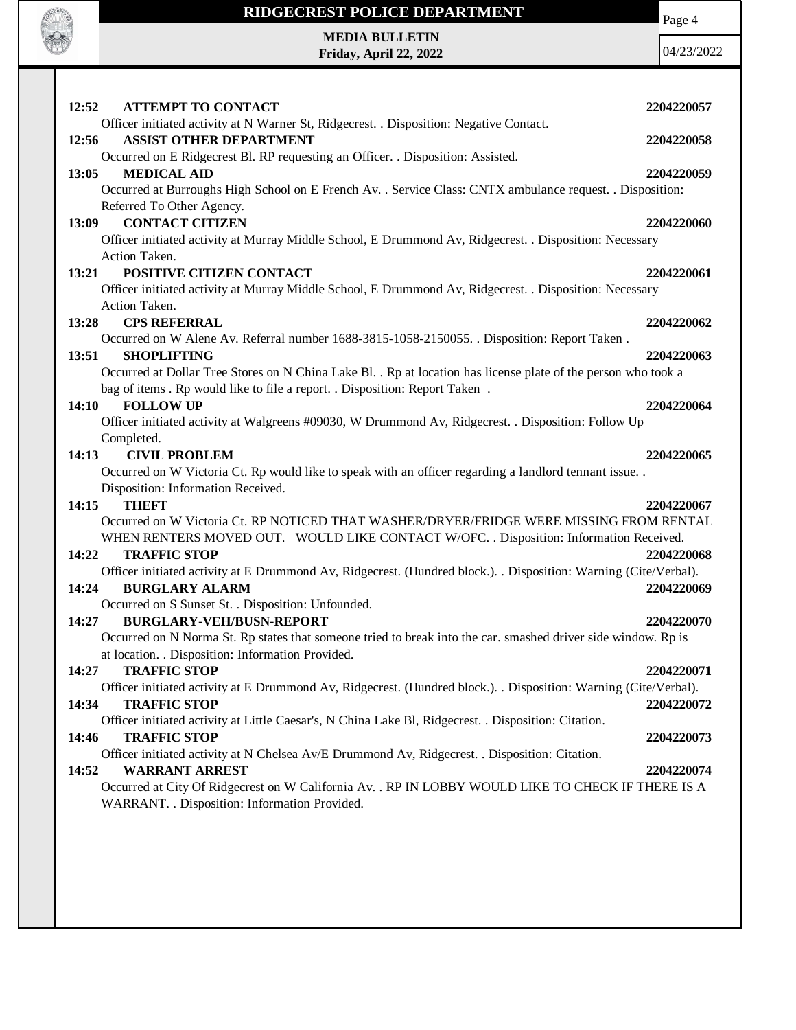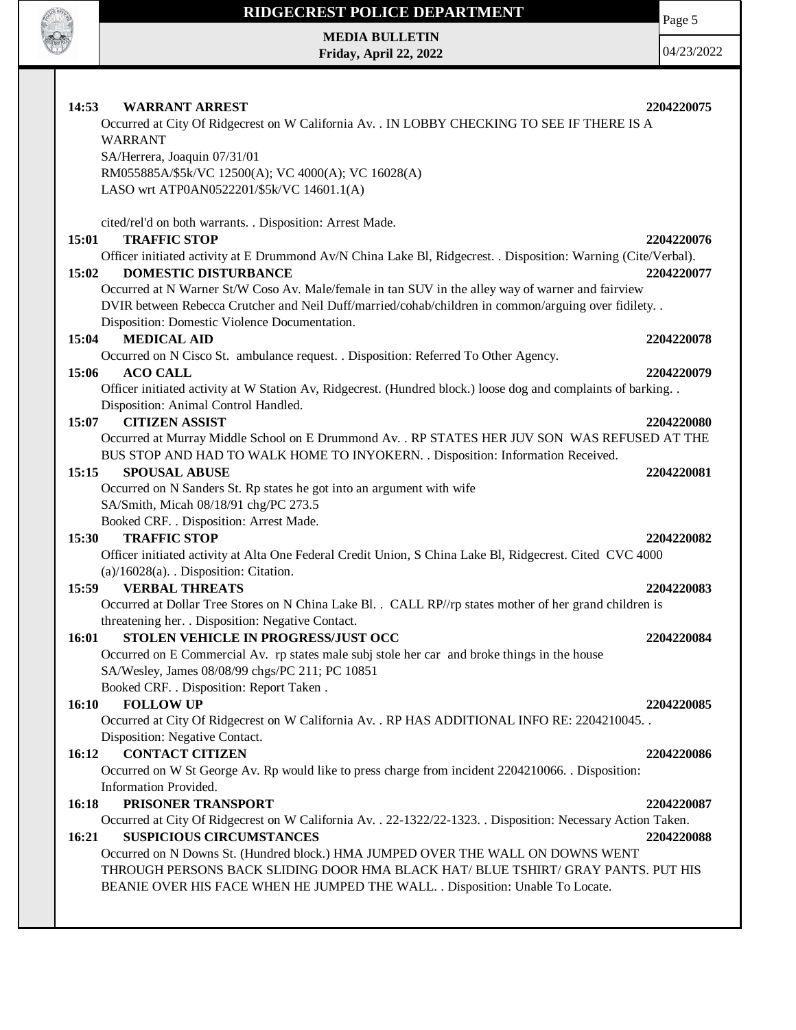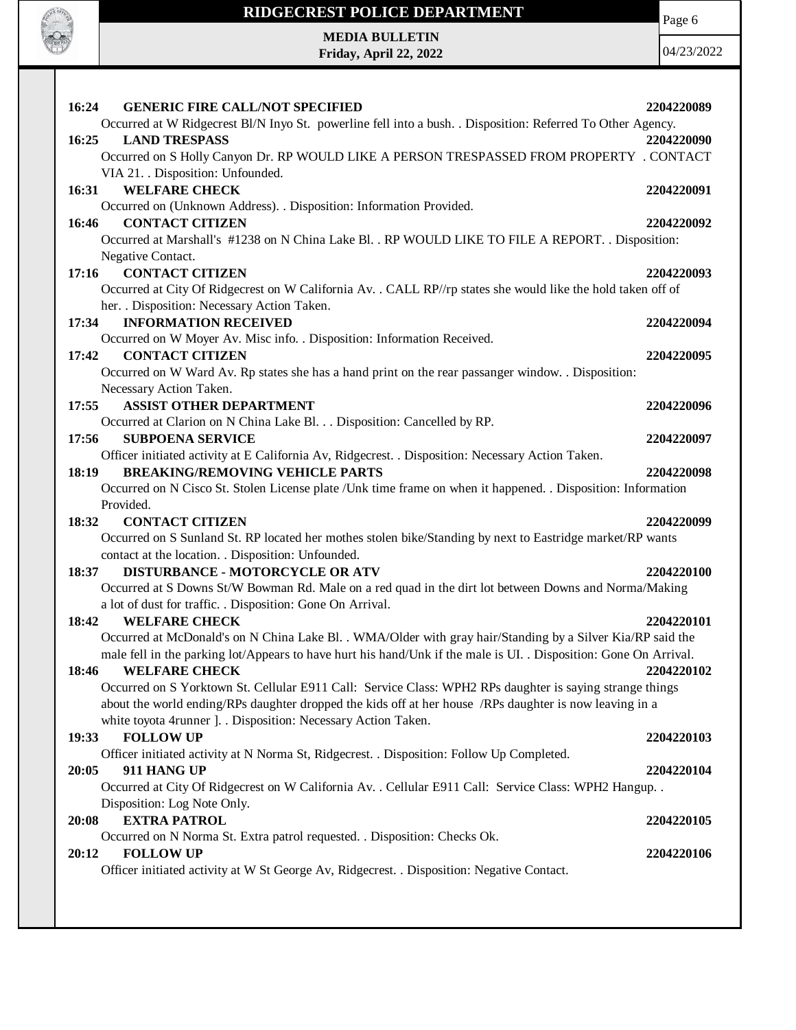

**Friday, April 22, 2022**

Carpenter Re

Page 6

| 16:24<br><b>GENERIC FIRE CALL/NOT SPECIFIED</b>                                                                                       | 2204220089 |
|---------------------------------------------------------------------------------------------------------------------------------------|------------|
| Occurred at W Ridgecrest Bl/N Inyo St. powerline fell into a bush. . Disposition: Referred To Other Agency.                           |            |
| 16:25<br><b>LAND TRESPASS</b>                                                                                                         | 2204220090 |
| Occurred on S Holly Canyon Dr. RP WOULD LIKE A PERSON TRESPASSED FROM PROPERTY . CONTACT                                              |            |
| VIA 21. Disposition: Unfounded.                                                                                                       |            |
| <b>WELFARE CHECK</b><br>16:31                                                                                                         | 2204220091 |
| Occurred on (Unknown Address). . Disposition: Information Provided.                                                                   |            |
| <b>CONTACT CITIZEN</b><br>16:46                                                                                                       | 2204220092 |
| Occurred at Marshall's #1238 on N China Lake Bl. . RP WOULD LIKE TO FILE A REPORT. . Disposition:                                     |            |
| Negative Contact.                                                                                                                     |            |
| <b>CONTACT CITIZEN</b><br>17:16                                                                                                       | 2204220093 |
| Occurred at City Of Ridgecrest on W California Av. . CALL RP//rp states she would like the hold taken off of                          |            |
| her. . Disposition: Necessary Action Taken.                                                                                           |            |
| <b>INFORMATION RECEIVED</b><br>17:34                                                                                                  | 2204220094 |
| Occurred on W Moyer Av. Misc info. . Disposition: Information Received.                                                               |            |
| <b>CONTACT CITIZEN</b><br>17:42                                                                                                       | 2204220095 |
| Occurred on W Ward Av. Rp states she has a hand print on the rear passanger window. . Disposition:                                    |            |
| Necessary Action Taken.                                                                                                               |            |
| 17:55<br><b>ASSIST OTHER DEPARTMENT</b>                                                                                               | 2204220096 |
| Occurred at Clarion on N China Lake Bl. Disposition: Cancelled by RP.                                                                 |            |
| 17:56<br><b>SUBPOENA SERVICE</b>                                                                                                      | 2204220097 |
| Officer initiated activity at E California Av, Ridgecrest. . Disposition: Necessary Action Taken.                                     |            |
| <b>BREAKING/REMOVING VEHICLE PARTS</b><br>18:19                                                                                       | 2204220098 |
| Occurred on N Cisco St. Stolen License plate / Unk time frame on when it happened. . Disposition: Information                         |            |
| Provided.                                                                                                                             |            |
| 18:32<br><b>CONTACT CITIZEN</b>                                                                                                       | 2204220099 |
| Occurred on S Sunland St. RP located her mothes stolen bike/Standing by next to Eastridge market/RP wants                             |            |
| contact at the location. . Disposition: Unfounded.                                                                                    |            |
| <b>DISTURBANCE - MOTORCYCLE OR ATV</b><br>18:37                                                                                       | 2204220100 |
| Occurred at S Downs St/W Bowman Rd. Male on a red quad in the dirt lot between Downs and Norma/Making                                 |            |
| a lot of dust for traffic. . Disposition: Gone On Arrival.                                                                            |            |
| <b>WELFARE CHECK</b><br>18:42                                                                                                         | 2204220101 |
| Occurred at McDonald's on N China Lake Bl. . WMA/Older with gray hair/Standing by a Silver Kia/RP said the                            |            |
| male fell in the parking lot/Appears to have hurt his hand/Unk if the male is UI. . Disposition: Gone On Arrival.                     |            |
| 18:46 WELFARE CHECK                                                                                                                   | 2204220102 |
| Occurred on S Yorktown St. Cellular E911 Call: Service Class: WPH2 RPs daughter is saying strange things                              |            |
| about the world ending/RPs daughter dropped the kids off at her house /RPs daughter is now leaving in a                               |            |
| white toyota 4runner ]. . Disposition: Necessary Action Taken.                                                                        |            |
| <b>FOLLOW UP</b><br>19:33                                                                                                             | 2204220103 |
| Officer initiated activity at N Norma St, Ridgecrest. . Disposition: Follow Up Completed.                                             |            |
| 911 HANG UP<br>20:05                                                                                                                  | 2204220104 |
| Occurred at City Of Ridgecrest on W California Av. . Cellular E911 Call: Service Class: WPH2 Hangup. .<br>Disposition: Log Note Only. |            |
|                                                                                                                                       |            |
| <b>EXTRA PATROL</b><br>20:08                                                                                                          | 2204220105 |
| Occurred on N Norma St. Extra patrol requested. . Disposition: Checks Ok.                                                             |            |
| <b>FOLLOW UP</b><br>20:12                                                                                                             | 2204220106 |
| Officer initiated activity at W St George Av, Ridgecrest. . Disposition: Negative Contact.                                            |            |
|                                                                                                                                       |            |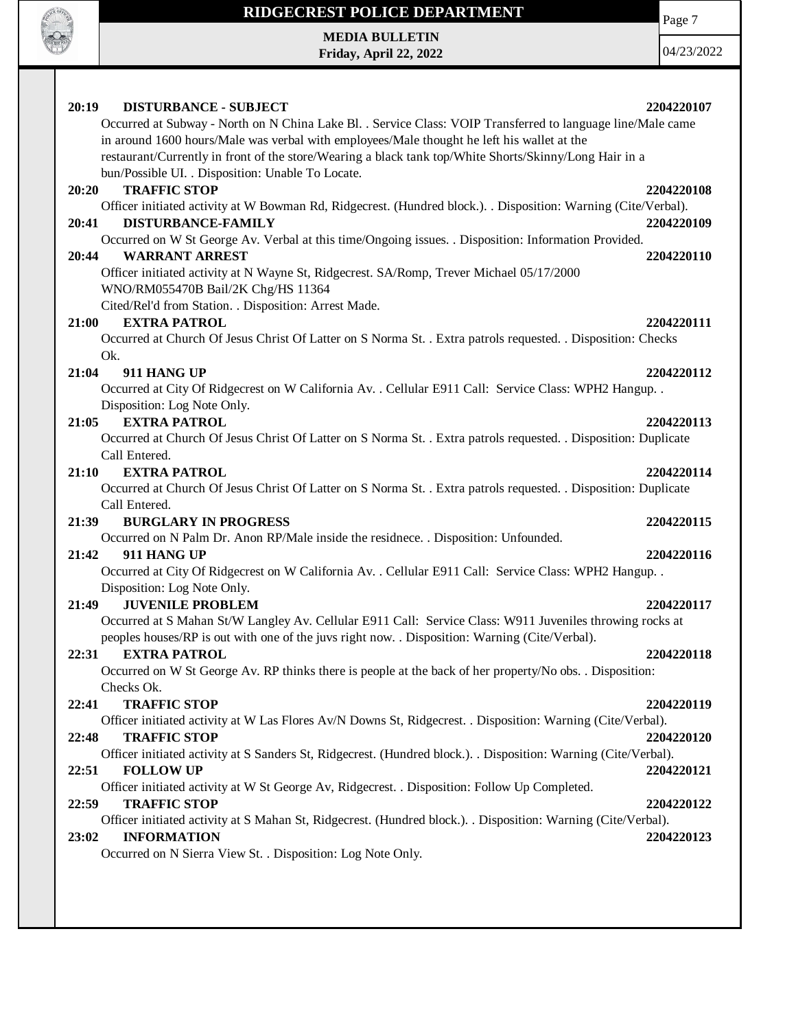

## **RIDGECREST POLICE DEPARTMENT MEDIA BULLETIN**

**Friday, April 22, 2022**

Page 7

| 20:19<br><b>DISTURBANCE - SUBJECT</b><br>2204220107<br>Occurred at Subway - North on N China Lake Bl. . Service Class: VOIP Transferred to language line/Male came<br>in around 1600 hours/Male was verbal with employees/Male thought he left his wallet at the |  |
|------------------------------------------------------------------------------------------------------------------------------------------------------------------------------------------------------------------------------------------------------------------|--|
| restaurant/Currently in front of the store/Wearing a black tank top/White Shorts/Skinny/Long Hair in a<br>bun/Possible UI. . Disposition: Unable To Locate.                                                                                                      |  |
| <b>TRAFFIC STOP</b><br>20:20<br>2204220108<br>Officer initiated activity at W Bowman Rd, Ridgecrest. (Hundred block.). . Disposition: Warning (Cite/Verbal).                                                                                                     |  |
| <b>DISTURBANCE-FAMILY</b><br>20:41<br>2204220109<br>Occurred on W St George Av. Verbal at this time/Ongoing issues. . Disposition: Information Provided.                                                                                                         |  |
| <b>WARRANT ARREST</b><br>20:44<br>2204220110<br>Officer initiated activity at N Wayne St, Ridgecrest. SA/Romp, Trever Michael 05/17/2000<br>WNO/RM055470B Bail/2K Chg/HS 11364                                                                                   |  |
| Cited/Rel'd from Station. . Disposition: Arrest Made.<br><b>EXTRA PATROL</b><br>2204220111<br>21:00                                                                                                                                                              |  |
| Occurred at Church Of Jesus Christ Of Latter on S Norma St. . Extra patrols requested. . Disposition: Checks<br>Ok.                                                                                                                                              |  |
| 21:04<br>911 HANG UP<br>2204220112<br>Occurred at City Of Ridgecrest on W California Av. . Cellular E911 Call: Service Class: WPH2 Hangup. .                                                                                                                     |  |
| Disposition: Log Note Only.<br><b>EXTRA PATROL</b><br>21:05<br>2204220113                                                                                                                                                                                        |  |
| Occurred at Church Of Jesus Christ Of Latter on S Norma St. . Extra patrols requested. . Disposition: Duplicate<br>Call Entered.                                                                                                                                 |  |
| <b>EXTRA PATROL</b><br>21:10<br>2204220114<br>Occurred at Church Of Jesus Christ Of Latter on S Norma St. . Extra patrols requested. . Disposition: Duplicate                                                                                                    |  |
| Call Entered.<br><b>BURGLARY IN PROGRESS</b><br>2204220115<br>21:39                                                                                                                                                                                              |  |
| Occurred on N Palm Dr. Anon RP/Male inside the residnece. . Disposition: Unfounded.<br>21:42<br>911 HANG UP<br>2204220116                                                                                                                                        |  |
| Occurred at City Of Ridgecrest on W California Av. . Cellular E911 Call: Service Class: WPH2 Hangup. .<br>Disposition: Log Note Only.                                                                                                                            |  |
| <b>JUVENILE PROBLEM</b><br>21:49<br>2204220117<br>Occurred at S Mahan St/W Langley Av. Cellular E911 Call: Service Class: W911 Juveniles throwing rocks at<br>peoples houses/RP is out with one of the juvs right now. . Disposition: Warning (Cite/Verbal).     |  |
| <b>EXTRA PATROL</b><br>22:31<br>2204220118<br>Occurred on W St George Av. RP thinks there is people at the back of her property/No obs. . Disposition:                                                                                                           |  |
| Checks Ok.<br><b>TRAFFIC STOP</b><br>22:41<br>2204220119                                                                                                                                                                                                         |  |
| Officer initiated activity at W Las Flores Av/N Downs St, Ridgecrest. . Disposition: Warning (Cite/Verbal).<br>22:48<br><b>TRAFFIC STOP</b><br>2204220120                                                                                                        |  |
| Officer initiated activity at S Sanders St, Ridgecrest. (Hundred block.). . Disposition: Warning (Cite/Verbal).<br>22:51<br><b>FOLLOW UP</b><br>2204220121                                                                                                       |  |
| Officer initiated activity at W St George Av, Ridgecrest. . Disposition: Follow Up Completed.<br><b>TRAFFIC STOP</b><br>22:59<br>2204220122                                                                                                                      |  |
| Officer initiated activity at S Mahan St, Ridgecrest. (Hundred block.). . Disposition: Warning (Cite/Verbal).<br><b>INFORMATION</b><br>23:02<br>2204220123                                                                                                       |  |
| Occurred on N Sierra View St. . Disposition: Log Note Only.                                                                                                                                                                                                      |  |